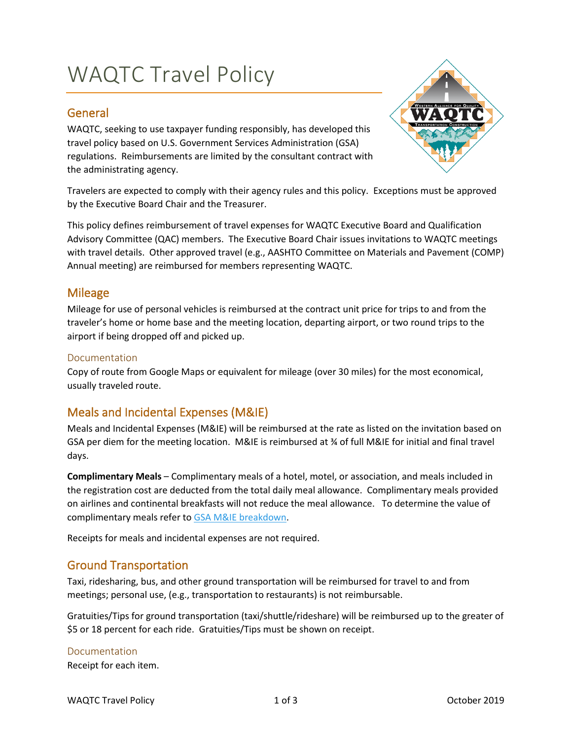# WAQTC Travel Policy

## General

WAQTC, seeking to use taxpayer funding responsibly, has developed this travel policy based on U.S. Government Services Administration (GSA) regulations. Reimbursements are limited by the consultant contract with the administrating agency.



Travelers are expected to comply with their agency rules and this policy. Exceptions must be approved by the Executive Board Chair and the Treasurer.

This policy defines reimbursement of travel expenses for WAQTC Executive Board and Qualification Advisory Committee (QAC) members. The Executive Board Chair issues invitations to WAQTC meetings with travel details. Other approved travel (e.g., AASHTO Committee on Materials and Pavement (COMP) Annual meeting) are reimbursed for members representing WAQTC.

## Mileage

Mileage for use of personal vehicles is reimbursed at the contract unit price for trips to and from the traveler's home or home base and the meeting location, departing airport, or two round trips to the airport if being dropped off and picked up.

#### Documentation

Copy of route from Google Maps or equivalent for mileage (over 30 miles) for the most economical, usually traveled route.

# Meals and Incidental Expenses (M&IE)

Meals and Incidental Expenses (M&IE) will be reimbursed at the rate as listed on the invitation based on GSA per diem for the meeting location. M&IE is reimbursed at ¾ of full M&IE for initial and final travel days.

**Complimentary Meals** – Complimentary meals of a hotel, motel, or association, and meals included in the registration cost are deducted from the total daily meal allowance. Complimentary meals provided on airlines and continental breakfasts will not reduce the meal allowance. To determine the value of complimentary meals refer t[o GSA M&IE breakdown.](https://www.gsa.gov/travel/plan-book/per-diem-rates/mie-breakdown)

Receipts for meals and incidental expenses are not required.

## Ground Transportation

Taxi, ridesharing, bus, and other ground transportation will be reimbursed for travel to and from meetings; personal use, (e.g., transportation to restaurants) is not reimbursable.

Gratuities/Tips for ground transportation (taxi/shuttle/rideshare) will be reimbursed up to the greater of \$5 or 18 percent for each ride. Gratuities/Tips must be shown on receipt.

#### Documentation

Receipt for each item.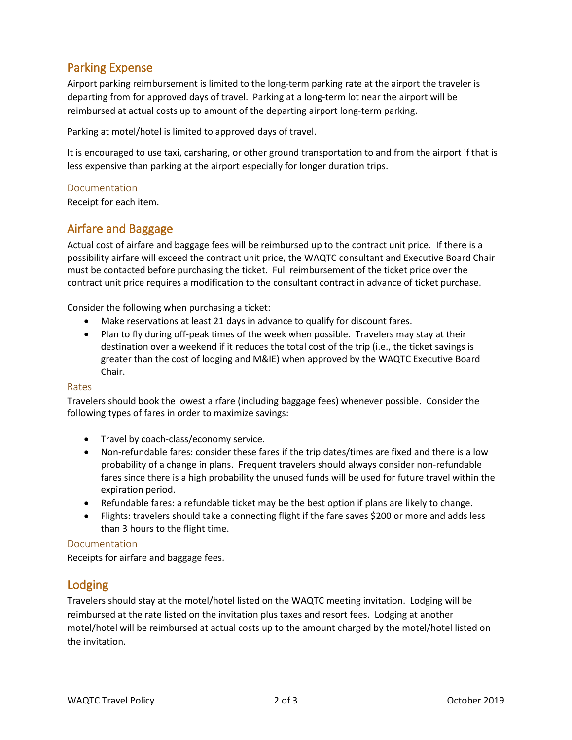# Parking Expense

Airport parking reimbursement is limited to the long-term parking rate at the airport the traveler is departing from for approved days of travel. Parking at a long-term lot near the airport will be reimbursed at actual costs up to amount of the departing airport long-term parking.

Parking at motel/hotel is limited to approved days of travel.

It is encouraged to use taxi, carsharing, or other ground transportation to and from the airport if that is less expensive than parking at the airport especially for longer duration trips.

### Documentation

Receipt for each item.

## Airfare and Baggage

Actual cost of airfare and baggage fees will be reimbursed up to the contract unit price. If there is a possibility airfare will exceed the contract unit price, the WAQTC consultant and Executive Board Chair must be contacted before purchasing the ticket. Full reimbursement of the ticket price over the contract unit price requires a modification to the consultant contract in advance of ticket purchase.

Consider the following when purchasing a ticket:

- Make reservations at least 21 days in advance to qualify for discount fares.
- Plan to fly during off-peak times of the week when possible. Travelers may stay at their destination over a weekend if it reduces the total cost of the trip (i.e., the ticket savings is greater than the cost of lodging and M&IE) when approved by the WAQTC Executive Board Chair.

#### Rates

Travelers should book the lowest airfare (including baggage fees) whenever possible. Consider the following types of fares in order to maximize savings:

- Travel by coach-class/economy service.
- Non-refundable fares: consider these fares if the trip dates/times are fixed and there is a low probability of a change in plans. Frequent travelers should always consider non-refundable fares since there is a high probability the unused funds will be used for future travel within the expiration period.
- Refundable fares: a refundable ticket may be the best option if plans are likely to change.
- Flights: travelers should take a connecting flight if the fare saves \$200 or more and adds less than 3 hours to the flight time.

#### Documentation

Receipts for airfare and baggage fees.

## Lodging

Travelers should stay at the motel/hotel listed on the WAQTC meeting invitation. Lodging will be reimbursed at the rate listed on the invitation plus taxes and resort fees. Lodging at another motel/hotel will be reimbursed at actual costs up to the amount charged by the motel/hotel listed on the invitation.